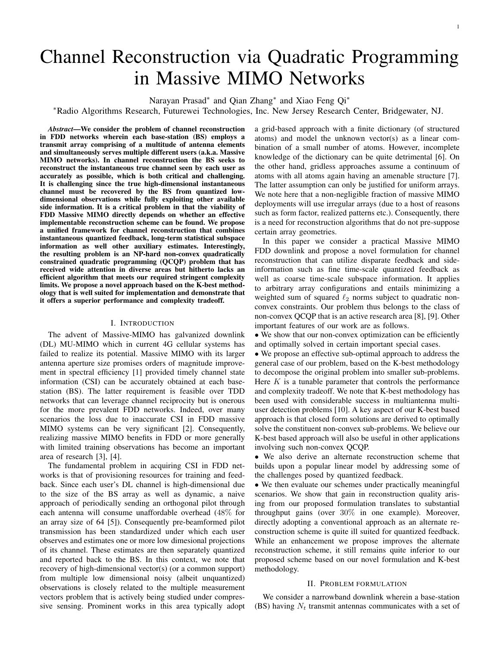# Channel Reconstruction via Quadratic Programming in Massive MIMO Networks

Narayan Prasad<sup>∗</sup> and Qian Zhang<sup>∗</sup> and Xiao Feng Qi<sup>∗</sup>

<sup>∗</sup>Radio Algorithms Research, Futurewei Technologies, Inc. New Jersey Research Center, Bridgewater, NJ.

*Abstract*—We consider the problem of channel reconstruction in FDD networks wherein each base-station (BS) employs a transmit array comprising of a multitude of antenna elements and simultaneously serves multiple different users (a.k.a. Massive MIMO networks). In channel reconstruction the BS seeks to reconstruct the instantaneous true channel seen by each user as accurately as possible, which is both critical and challenging. It is challenging since the true high-dimensional instantaneous channel must be recovered by the BS from quantized lowdimensional observations while fully exploiting other available side information. It is a critical problem in that the viability of FDD Massive MIMO directly depends on whether an effective implementable reconstruction scheme can be found. We propose a unified framework for channel reconstruction that combines instantaneous quantized feedback, long-term statistical subspace information as well other auxiliary estimates. Interestingly, the resulting problem is an NP-hard non-convex quadratically constrained quadratic programming (QCQP) problem that has received wide attention in diverse areas but hitherto lacks an efficient algorithm that meets our required stringent complexity limits. We propose a novel approach based on the K-best methodology that is well suited for implementation and demonstrate that it offers a superior performance and complexity tradeoff.

## I. INTRODUCTION

The advent of Massive-MIMO has galvanized downlink (DL) MU-MIMO which in current 4G cellular systems has failed to realize its potential. Massive MIMO with its larger antenna aperture size promises orders of magnitude improvement in spectral efficiency [1] provided timely channel state information (CSI) can be accurately obtained at each basestation (BS). The latter requirement is feasible over TDD networks that can leverage channel reciprocity but is onerous for the more prevalent FDD networks. Indeed, over many scenarios the loss due to inaccurate CSI in FDD massive MIMO systems can be very significant [2]. Consequently, realizing massive MIMO benefits in FDD or more generally with limited training observations has become an important area of research [3], [4].

The fundamental problem in acquiring CSI in FDD networks is that of provisioning resources for training and feedback. Since each user's DL channel is high-dimensional due to the size of the BS array as well as dynamic, a naive approach of periodically sending an orthogonal pilot through each antenna will consume unaffordable overhead (48% for an array size of 64 [5]). Consequently pre-beamformed pilot transmission has been standardized under which each user observes and estimates one or more low dimesional projections of its channel. These estimates are then separately quantized and reported back to the BS. In this context, we note that recovery of high-dimensional vector(s) (or a common support) from multiple low dimensional noisy (albeit unquantized) observations is closely related to the multiple measurement vectors problem that is actively being studied under compressive sensing. Prominent works in this area typically adopt

a grid-based approach with a finite dictionary (of structured atoms) and model the unknown vector(s) as a linear combination of a small number of atoms. However, incomplete knowledge of the dictionary can be quite detrimental [6]. On the other hand, gridless approaches assume a continuum of atoms with all atoms again having an amenable structure [7]. The latter assumption can only be justified for uniform arrays. We note here that a non-negligible fraction of massive MIMO deployments will use irregular arrays (due to a host of reasons such as form factor, realized patterns etc.). Consequently, there is a need for reconstruction algorithms that do not pre-suppose certain array geometries.

In this paper we consider a practical Massive MIMO FDD downlink and propose a novel formulation for channel reconstruction that can utilize disparate feedback and sideinformation such as fine time-scale quantized feedback as well as coarse time-scale subspace information. It applies to arbitrary array configurations and entails minimizing a weighted sum of squared  $\ell_2$  norms subject to quadratic nonconvex constraints. Our problem thus belongs to the class of non-convex QCQP that is an active research area [8], [9]. Other important features of our work are as follows.

• We show that our non-convex optimization can be efficiently and optimally solved in certain important special cases.

• We propose an effective sub-optimal approach to address the general case of our problem, based on the K-best methodology to decompose the original problem into smaller sub-problems. Here  $K$  is a tunable parameter that controls the performance and complexity tradeoff. We note that K-best methodology has been used with considerable success in multiantenna multiuser detection problems [10]. A key aspect of our K-best based approach is that closed form solutions are derived to optimally solve the constituent non-convex sub-problems. We believe our K-best based approach will also be useful in other applications involving such non-convex QCQP.

• We also derive an alternate reconstruction scheme that builds upon a popular linear model by addressing some of the challenges posed by quantized feedback.

• We then evaluate our schemes under practically meaningful scenarios. We show that gain in reconstruction quality arising from our proposed formulation translates to substantial throughput gains (over 30% in one example). Moreover, directly adopting a conventional approach as an alternate reconstruction scheme is quite ill suited for quantized feedback. While an enhancement we propose improves the alternate reconstruction scheme, it still remains quite inferior to our proposed scheme based on our novel formulation and K-best methodology.

#### II. PROBLEM FORMULATION

We consider a narrowband downlink wherein a base-station (BS) having  $N_t$  transmit antennas communicates with a set of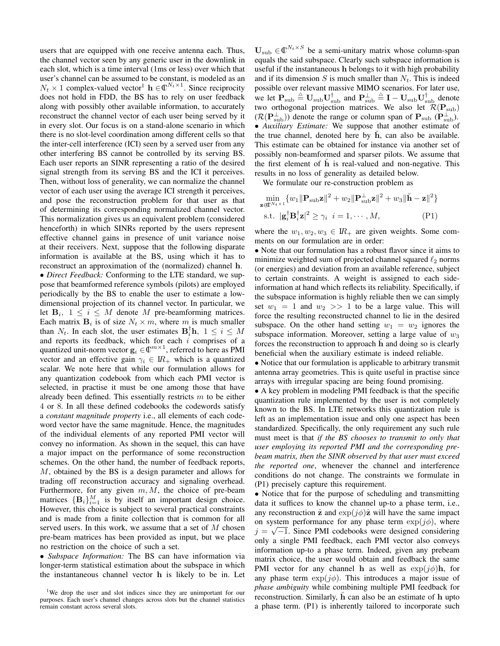users that are equipped with one receive antenna each. Thus, the channel vector seen by any generic user in the downlink in each slot, which is a time interval (1ms or less) over which that user's channel can be assumed to be constant, is modeled as an  $N_t \times 1$  complex-valued vector<sup>1</sup>  $\mathbf{h} \in \mathbb{C}^{N_t \times 1}$ . Since reciprocity does not hold in FDD, the BS has to rely on user feedback along with possibly other available information, to accurately reconstruct the channel vector of each user being served by it in every slot. Our focus is on a stand-alone scenario in which there is no slot-level coordination among different cells so that the inter-cell interference (ICI) seen by a served user from any other interfering BS cannot be controlled by its serving BS. Each user reports an SINR representing a ratio of the desired signal strength from its serving BS and the ICI it perceives. Then, without loss of generality, we can normalize the channel vector of each user using the average ICI strength it perceives, and pose the reconstruction problem for that user as that of determining its corresponding normalized channel vector. This normalization gives us an equivalent problem (considered henceforth) in which SINRs reported by the users represent effective channel gains in presence of unit variance noise at their receivers. Next, suppose that the following disparate information is available at the BS, using which it has to reconstruct an approximation of the (normalized) channel h. • *Direct Feedback:* Conforming to the LTE standard, we suppose that beamformed reference symbols (pilots) are employed periodically by the BS to enable the user to estimate a lowdimensional projection of its channel vector. In particular, we let  $B_i$ ,  $1 \leq i \leq M$  denote M pre-beamforming matrices. Each matrix  $B_i$  is of size  $N_t \times m$ , where m is much smaller than  $N_t$ . In each slot, the user estimates  $\mathbf{B}_i^{\dagger} \mathbf{h}$ ,  $1 \leq i \leq M$ and reports its feedback, which for each  $i$  comprises of a quantized unit-norm vector  $\mathbf{g}_i \in \mathbb{C}^{m \times 1}$ , referred to here as PMI vector and an effective gain  $\gamma_i \in \mathbb{R}_+$  which is a quantized scalar. We note here that while our formulation allows for any quantization codebook from which each PMI vector is selected, in practise it must be one among those that have already been defined. This essentially restricts  $m$  to be either 4 or 8. In all these defined codebooks the codewords satisfy a *constant magnitude property* i.e., all elements of each codeword vector have the same magnitude. Hence, the magnitudes of the individual elements of any reported PMI vector will convey no information. As shown in the sequel, this can have a major impact on the performance of some reconstruction schemes. On the other hand, the number of feedback reports, M, obtained by the BS is a design parameter and allows for trading off reconstruction accuracy and signaling overhead. Furthermore, for any given  $m, M$ , the choice of pre-beam matrices  ${B_i}_{i=1}^M$  is by itself an important design choice. However, this choice is subject to several practical constraints and is made from a finite collection that is common for all served users. In this work, we assume that a set of  $M$  chosen pre-beam matrices has been provided as input, but we place no restriction on the choice of such a set.

• *Subspace Information:* The BS can have information via longer-term statistical estimation about the subspace in which the instantaneous channel vector h is likely to be in. Let

 $\mathbf{U}_{\text{sub}} \in \mathbb{C}^{N_t \times S}$  be a semi-unitary matrix whose column-span equals the said subspace. Clearly such subspace information is useful if the instantaneous h belongs to it with high probability and if its dimension S is much smaller than  $N_t$ . This is indeed possible over relevant massive MIMO scenarios. For later use, we let  $P_{sub} \triangleq U_{sub} U_{sub}^{\dagger}$  and  $P_{sub}^{\perp} \triangleq I - U_{sub} U_{sub}^{\dagger}$  denote two orthogonal projection matrices. We also let  $\mathcal{R}(\mathbf{P}_{\text{sub}})$  $(\mathcal{R}(\mathbf{P}_{sub}^{\perp}))$  denote the range or column span of  $\mathbf{P}_{sub}$  ( $\mathbf{P}_{sub}^{\perp}$ ). • *Auxiliary Estimate:* We suppose that another estimate of the true channel, denoted here by  $\dot{h}$ , can also be available. This estimate can be obtained for instance via another set of possibly non-beamformed and sparser pilots. We assume that the first element of  $h$  is real-valued and non-negative. This results in no loss of generality as detailed below.

We formulate our re-construction problem as

$$
\min_{\mathbf{z} \in \mathbb{C}^{N_t \times 1}} \{w_1 \|\mathbf{P}_{\text{sub}}\mathbf{z}\|^2 + w_2 \|\mathbf{P}_{\text{sub}}^{\perp}\mathbf{z}\|^2 + w_3 \|\check{\mathbf{h}} - \mathbf{z}\|^2 \}
$$
\ns.t.

\n
$$
|\mathbf{g}_i^{\dagger} \mathbf{B}_i^{\dagger} \mathbf{z}|^2 \geq \gamma_i \quad i = 1, \cdots, M,
$$
\n
$$
(P1)
$$

where the  $w_1, w_2, w_3 \in \mathbb{R}_+$  are given weights. Some comments on our formulation are in order:

• Note that our formulation has a robust flavor since it aims to minimize weighted sum of projected channel squared  $\ell_2$  norms (or energies) and deviation from an available reference, subject to certain constraints. A weight is assigned to each sideinformation at hand which reflects its reliability. Specifically, if the subspace information is highly reliable then we can simply set  $w_1 = 1$  and  $w_2 >> 1$  to be a large value. This will force the resulting reconstructed channel to lie in the desired subspace. On the other hand setting  $w_1 = w_2$  ignores the subspace information. Moreover, setting a large value of  $w_3$ forces the reconstruction to approach h and doing so is clearly beneficial when the auxiliary estimate is indeed reliable.

• Notice that our formulation is applicable to arbitrary transmit antenna array geometries. This is quite useful in practise since arrays with irregular spacing are being found promising.

• A key problem in modeling PMI feedback is that the specific quantization rule implemented by the user is not completely known to the BS. In LTE networks this quantization rule is left as an implementation issue and only one aspect has been standardized. Specifically, the only requirement any such rule must meet is that *if the BS chooses to transmit to only that user employing its reported PMI and the corresponding prebeam matrix, then the SINR observed by that user must exceed the reported one*, whenever the channel and interference conditions do not change. The constraints we formulate in (P1) precisely capture this requirement.

• Notice that for the purpose of scheduling and transmitting data it suffices to know the channel up-to a phase term, i.e., any reconstruction  $\hat{z}$  and  $\exp(j\phi)\hat{z}$  will have the same impact on system performance for any phase term  $\exp(j\phi)$ , where  $j = \sqrt{-1}$ . Since PMI codebooks were designed considering only a single PMI feedback, each PMI vector also conveys information up-to a phase term. Indeed, given any prebeam matrix choice, the user would obtain and feedback the same PMI vector for any channel h as well as  $\exp(j\phi)$ h, for any phase term  $\exp(j\phi)$ . This introduces a major issue of *phase ambiguity* while combining multiple PMI feedback for reconstruction. Similarly,  $\dot{h}$  can also be an estimate of  $h$  upto a phase term. (P1) is inherently tailored to incorporate such

<sup>&</sup>lt;sup>1</sup>We drop the user and slot indices since they are unimportant for our purposes. Each user's channel changes across slots but the channel statistics remain constant across several slots.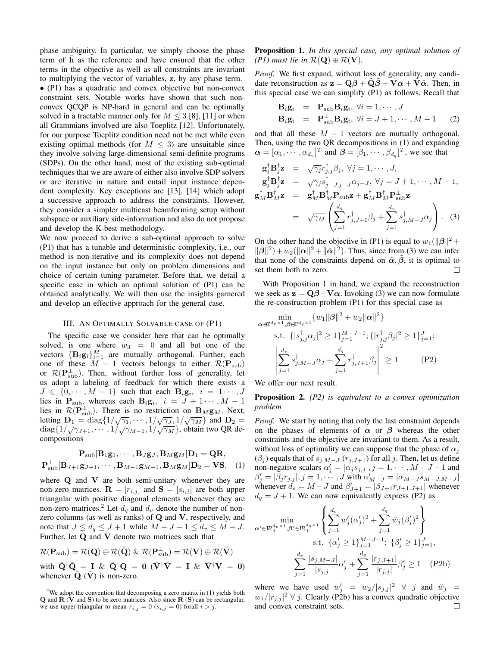phase ambiguity. In particular, we simply choose the phase term of h as the reference and have ensured that the other terms in the objective as well as all constraints are invariant to multiplying the vector of variables, z, by any phase term. • (P1) has a quadratic and convex objective but non-convex constraint sets. Notable works have shown that such nonconvex QCQP is NP-hard in general and can be optimally solved in a tractable manner only for  $M \leq 3$  [8], [11] or when all Grammians involved are also Toeplitz [12]. Unfortunately, for our purpose Toeplitz condition need not be met while even existing optimal methods (for  $M \leq 3$ ) are unsuitable since they involve solving large-dimensional semi-definite programs (SDPs). On the other hand, most of the existing sub-optimal techniques that we are aware of either also involve SDP solvers or are iterative in nature and entail input instance dependent complexity. Key exceptions are [13], [14] which adopt a successive approach to address the constraints. However, they consider a simpler multicast beamforming setup without subspace or auxiliary side-information and also do not propose and develop the K-best methodology.

We now proceed to derive a sub-optimal approach to solve (P1) that has a tunable and deterministic complexity, i.e., our method is non-iterative and its complexity does not depend on the input instance but only on problem dimensions and choice of certain tuning parameter. Before that, we detail a specific case in which an optimal solution of (P1) can be obtained analytically. We will then use the insights garnered and develop an effective approach for the general case.

#### III. AN OPTIMALLY SOLVABLE CASE OF (P1)

The specific case we consider here that can be optimally solved, is one where  $w_3 = 0$  and all but one of the vectors  $\{B_i g_i\}_{i=1}^M$  are mutually orthogonal. Further, each one of these  $M - 1$  vectors belongs to either  $\mathcal{R}(\mathbf{P}_{sub})$ or  $\mathcal{R}(\mathbf{P}_{\text{sub}}^{\perp})$ . Then, without further loss of generality, let us adopt a labeling of feedback for which there exists a  $J \in \{0, \dots, M-1\}$  such that each  $\mathbf{B}_i \mathbf{g}_i$ ,  $i = 1 \dots, J$ lies in  $P_{sub}$ , whereas each  $B_i g_i$ ,  $i = J + 1 \cdots$ ,  $M - 1$ lies in  $\mathcal{R}(\mathbf{P}_{sub}^{\perp})$ . There is no restriction on  $\mathbf{B}_M \mathbf{g}_M$ . Next, letting  $D_1 = \text{diag}\{1/\sqrt{\gamma_1}, \cdots, 1/\sqrt{\gamma_J}, 1/\sqrt{\gamma_M}\}\$  and  $D_2 =$ diag $\{1/\sqrt{\gamma_{J+1}}, \cdots, 1/\sqrt{\gamma_{M-1}}, 1/\sqrt{\gamma_M}\}$ , obtain two QR decompositions

$$
\mathbf{P}_{\text{sub}}[\mathbf{B}_1\mathbf{g}_1,\cdots,\mathbf{B}_J\mathbf{g}_J,\mathbf{B}_M\mathbf{g}_M]\mathbf{D}_1 = \mathbf{Q}\mathbf{R},
$$
  

$$
\mathbf{P}_{\text{sub}}^{\perp}[\mathbf{B}_{J+1}\mathbf{g}_{J+1},\cdots,\mathbf{B}_{M-1}\mathbf{g}_{M-1},\mathbf{B}_M\mathbf{g}_M]\mathbf{D}_2 = \mathbf{V}\mathbf{S}, \quad (1)
$$

where  $Q$  and  $V$  are both semi-unitary whenever they are non-zero matrices.  $\mathbf{R} = [r_{i,j}]$  and  $\mathbf{S} = [s_{i,j}]$  are both upper triangular with positive diagonal elements whenever they are non-zero matrices.<sup>2</sup> Let  $d_q$  and  $d_v$  denote the number of nonzero columns (as well as ranks) of  $Q$  and  $V$ , respectively, and note that  $J \leq d_q \leq J+1$  while  $M-J-1 \leq d_v \leq M-J$ . Further, let  $Q$  and  $V$  denote two matrices such that

$$
\mathcal{R}(\mathbf{P}_{\text{sub}}) = \mathcal{R}(\mathbf{Q}) \oplus \mathcal{R}(\tilde{\mathbf{Q}}) \& \mathcal{R}(\mathbf{P}_{\text{sub}}^{\perp}) = \mathcal{R}(\mathbf{V}) \oplus \mathcal{R}(\tilde{\mathbf{V}})
$$
  
with  $\tilde{\mathbf{Q}}^{\dagger} \tilde{\mathbf{Q}} = \mathbf{I} \& \tilde{\mathbf{Q}}^{\dagger} \mathbf{Q} = \mathbf{0} (\tilde{\mathbf{V}}^{\dagger} \tilde{\mathbf{V}} = \mathbf{I} \& \tilde{\mathbf{V}}^{\dagger} \mathbf{V} = \mathbf{0})$   
whenever  $\tilde{\mathbf{Q}}(\tilde{\mathbf{V}})$  is non-zero.

<sup>2</sup>We adopt the convention that decomposing a zero matrix in  $(1)$  yields both  $\bf{Q}$  and  $\bf{R}$  ( $\bf{V}$  and  $\bf{S}$ ) to be zero matrices. Also since  $\bf{R}$  ( $\bf{S}$ ) can be rectangular, we use upper-triangular to mean  $r_{i,j} = 0$  ( $s_{i,j} = 0$ ) forall  $i > j$ .

Proposition 1. *In this special case, any optimal solution of (P1)* must lie in  $\mathcal{R}(\mathbf{Q}) \oplus \mathcal{R}(\mathbf{V})$ .

*Proof.* We first expand, without loss of generality, any candidate reconstruction as  $z = Q\beta + Q\beta + V\alpha + V\tilde{\alpha}$ . Then, in this special case we can simplify (P1) as follows. Recall that

$$
\mathbf{B}_{i}\mathbf{g}_{i} = \mathbf{P}_{sub}\mathbf{B}_{i}\mathbf{g}_{i}, \forall i = 1, \cdots, J
$$
  
\n
$$
\mathbf{B}_{i}\mathbf{g}_{i} = \mathbf{P}_{sub}^{\perp}\mathbf{B}_{i}\mathbf{g}_{i}, \forall i = J+1, \cdots, M-1
$$
 (2)

and that all these  $M - 1$  vectors are mutually orthogonal. Then, using the two QR decompositions in (1) and expanding  $\boldsymbol{\alpha} = [\alpha_1, \cdots, \alpha_{d_v}]^T$  and  $\boldsymbol{\beta} = [\beta_1, \cdots, \beta_{d_q}]^T$ , we see that

$$
\mathbf{g}_{j}^{\dagger} \mathbf{B}_{j}^{\dagger} \mathbf{z} = \sqrt{\gamma_{j}} r_{j,j}^{\dagger} \beta_{j}, \forall j = 1, \cdots, J,
$$
  
\n
$$
\mathbf{g}_{j}^{\dagger} \mathbf{B}_{j}^{\dagger} \mathbf{z} = \sqrt{\gamma_{j}} s_{j-J,j-J}^{\dagger} \alpha_{j-J}, \forall j = J+1, \cdots, M-1,
$$
  
\n
$$
\mathbf{g}_{M}^{\dagger} \mathbf{B}_{M}^{\dagger} \mathbf{z} = \mathbf{g}_{M}^{\dagger} \mathbf{B}_{M}^{\dagger} \mathbf{P}_{\text{sub}} \mathbf{z} + \mathbf{g}_{M}^{\dagger} \mathbf{B}_{M}^{\dagger} \mathbf{P}_{\text{sub}}^{\dagger} \mathbf{z}
$$
  
\n
$$
= \sqrt{\gamma_{M}} \left( \sum_{j=1}^{d_{q}} r_{j,J+1}^{\dagger} \beta_{j} + \sum_{j=1}^{d_{v}} s_{j,M-J}^{\dagger} \alpha_{j} \right). \quad (3)
$$

On the other hand the objective in (P1) is equal to  $w_1(||\beta||^2 +$  $\|\tilde{\beta}\|^2$ ) +  $w_2(\|\alpha\|^2 + \|\tilde{\alpha}\|^2)$ . Thus, since from (3) we can infer that none of the constraints depend on  $\tilde{\alpha}$ ,  $\beta$ , it is optimal to set them both to zero. П

With Proposition 1 in hand, we expand the reconstruction we seek as  $z = Q\beta + V\alpha$ . Invoking (3) we can now formulate the re-construction problem (P1) for this special case as

$$
\alpha \text{d}^{l} \min_{\alpha \in \mathbb{R}^{d_q \times 1}} \{ w_1 \| \beta \|^2 + w_2 \| \alpha \|^2 \}
$$
\n
$$
\text{s.t. } \{ |s_{j,j}^{\dagger} \alpha_j|^2 \ge 1 \}_{j=1}^{M-J-1}; \{ |r_{j,j}^{\dagger} \beta_j|^2 \ge 1 \}_{j=1}^{J};
$$
\n
$$
\left| \sum_{j=1}^{d_v} s_{j,M-J}^{\dagger} \alpha_j + \sum_{j=1}^{d_q} r_{j,J+1}^{\dagger} \beta_j \right|^2 \ge 1 \tag{P2}
$$

We offer our next result.

Proposition 2. *(P2) is equivalent to a convex optimization problem*

*Proof.* We start by noting that only the last constraint depends on the phases of elements of  $\alpha$  or  $\beta$  whereas the other constraints and the objective are invariant to them. As a result, without loss of optimality we can suppose that the phase of  $\alpha_i$  $(\beta_j)$  equals that of  $s_{j,M-J}$  ( $r_{j,J+1}$ ) for all j. Then, let us define non-negative scalars  $\alpha'_{j} = |\alpha_{j} s_{j,j}|, j = 1, \cdots, M - J - 1$  and  $\beta'_j = |\bar{\beta}_j r_{j,j}|, j=1,\cdots,J$  with  $\alpha'_{M-J} = |\alpha_{M-J} s_{M-J,M-J}|$ whenever  $d_s = M - J$  and  $\beta'_{J+1} = |\beta_{J+1}r_{J+1,J+1}|$  whenever  $d_q = J + 1$ . We can now equivalently express (P2) as

$$
\min_{\alpha' \in IR_{+}^{d_{v} \times 1}, \beta' \in IR_{+}^{d_{q} \times 1}} \left\{ \sum_{j=1}^{d_{v}} w'_{j} (\alpha'_{j})^{2} + \sum_{j=1}^{d_{q}} \breve{w}_{j} (\beta'_{j})^{2} \right\}
$$
\ns.t.  $\{\alpha'_{j} \ge 1\}_{j=1}^{M-J-1}$ ;  $\{\beta'_{j} \ge 1\}_{j=1}^{J}$ ,  

$$
\sum_{j=1}^{d_{v}} \frac{|s_{j,M-J}|}{|s_{j,j}|} \alpha'_{j} + \sum_{j=1}^{d_{q}} \frac{|r_{j,J+1}|}{|r_{j,j}|} \beta'_{j} \ge 1
$$
 (P2b)

where we have used  $w'_j = w_2/|s_{j,j}|^2 \forall j$  and  $\breve{w}_j =$  $w_1/|r_{j,j}|^2 \forall j$ . Clearly (P2b) has a convex quadratic objective and convex constraint sets. $\Box$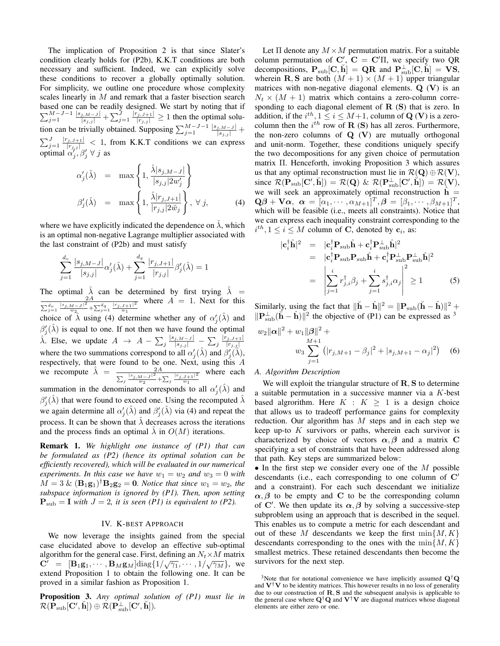The implication of Proposition 2 is that since Slater's condition clearly holds for (P2b), K.K.T conditions are both necessary and sufficient. Indeed, we can explicitly solve these conditions to recover a globally optimally solution. For simplicity, we outline one procedure whose complexity scales linearly in  $M$  and remark that a faster bisection search based one can be readily designed. We start by noting that if  $\sum_{j=1}^{M-J-1} \frac{|s_{j,M-J}|}{|s_{j,j}|} + \sum_{j=1}^{J} \frac{|r_{j,J+1}|}{|r_{j,j}|} \ge 1$  then the optimal solution can be trivially obtained. Supposing  $\sum_{j=1}^{M-J-1} \frac{|s_{j,M-J}|}{|s_{j,j}|}$  +  $\sum_{j=1}^{J} \frac{|r_{j,j+1}|}{|r_{j,j}|}$  < 1, from K.K.T conditions we can express optimal  $\alpha'_j, \beta'_j \forall j$  as

$$
\alpha'_{j}(\hat{\lambda}) = \max \left\{ 1, \frac{\hat{\lambda}|s_{j,M-J}|}{|s_{j,j}|2w'_{j}} \right\}
$$
  

$$
\beta'_{j}(\hat{\lambda}) = \max \left\{ 1, \frac{\hat{\lambda}|r_{j,J+1}|}{|r_{j,j}|2w_{j}} \right\}, \forall j,
$$
 (4)

where we have explicitly indicated the dependence on  $\lambda$ , which is an optimal non-negative Lagrange multiplier associated with the last constraint of (P2b) and must satisfy

$$
\sum_{j=1}^{d_v} \frac{|s_{j,M-J}|}{|s_{j,j}|} \alpha'_j(\hat{\lambda}) + \sum_{j=1}^{d_q} \frac{|r_{j,J+1}|}{|r_{j,j}|} \beta'_j(\hat{\lambda}) = 1
$$

The optimal  $\hat{\lambda}$  can be determined by first trying  $\hat{\lambda}$  =  $\sum_{j=1}^{d_v} \frac{|s_{j,M-J}|^2}{w_{2}} + \sum_{j=1}^{d_q} \frac{|r_{j,J+1}|^2}{w_1}$ where  $A = 1$ . Next for this choice of  $\hat{\lambda}$  using (4) determine whether any of  $\alpha'_j(\hat{\lambda})$  and  $\beta_j'(\hat{\lambda})$  is equal to one. If not then we have found the optimal  $\hat{\lambda}$ . Else, we update  $A \rightarrow A - \sum_j \frac{|s_{j,M-j}|}{|s_{j,j}|} - \sum_j \frac{|r_{j,J+1}|}{|r_{j,j}|}$  $|r_{j,j}|$ where the two summations correspond to all  $\alpha'_j(\hat{\lambda})$  and  $\beta'_j(\hat{\lambda})$ , respectively, that were found to be one. Next, using this A we recompute  $\hat{\lambda} = \frac{2A}{\sqrt{|\vec{x}|^2}}$  $\sum_j \frac{|s_{j,M-J}|^2}{w_2} + \sum_j \frac{|r_{j,J+1}|^2}{w_1}$ where each summation in the denominator corresponds to all  $\alpha'_j(\hat{\lambda})$  and

 $\beta_j'(\hat{\lambda})$  that were found to exceed one. Using the recomputed  $\hat{\lambda}$ we again determine all  $\alpha'_j(\hat{\lambda})$  and  $\beta'_j(\hat{\lambda})$  via (4) and repeat the process. It can be shown that  $\hat{\lambda}$  decreases across the iterations and the process finds an optimal  $\hat{\lambda}$  in  $O(M)$  iterations.

Remark 1. *We highlight one instance of (P1) that can be formulated as (P2) (hence its optimal solution can be efficiently recovered), which will be evaluated in our numerical experiments. In this case we have*  $w_1 = w_2$  *and*  $w_3 = 0$  *with*  $M = 3 \& (\mathbf{B}_1 \mathbf{g}_1)^{\dagger} \mathbf{B}_2 \mathbf{g}_2 = \mathbf{0}$ . Notice that since  $w_1 = w_2$ , the *subspace information is ignored by (P1). Then, upon setting*  $P_{sub} = I$  *with*  $J = 2$ *, it is seen (P1) is equivalent to (P2).* 

# IV. K-BEST APPROACH

We now leverage the insights gained from the special case elucidated above to develop an effective sub-optimal algorithm for the general case. First, defining an  $N_t \times M$  matrix algorium for the general case. First, defining an  $N_t \times M$  matrix<br>  $\mathbf{C}' = [\mathbf{B}_1 \mathbf{g}_1, \cdots, \mathbf{B}_M \mathbf{g}_M] \text{diag}\{1/\sqrt{\gamma_1}, \cdots, 1/\sqrt{\gamma_M}\},\$  we extend Proposition 1 to obtain the following one. It can be proved in a similar fashion as Proposition 1.

Proposition 3. *Any optimal solution of (P1) must lie in*  $\mathcal{R}(\mathbf{\hat{P}_{sub}}[\mathbf{C}',\breve{\mathbf{h}}]) \oplus \mathcal{\breve{R}}(\mathbf{\hat{P}_{sub}^{\perp}}[\mathbf{C}',\breve{\mathbf{h}}]).$ 

Let  $\Pi$  denote any  $M \times M$  permutation matrix. For a suitable column permutation of C',  $C = C' \Pi$ , we specify two QR decompositions,  $P_{sub}[C, \breve{h}] = QR$  and  $P_{sub}^{\perp}[C, \breve{h}] = VS$ , wherein **R**, **S** are both  $(M + 1) \times (M + 1)$  upper triangular matrices with non-negative diagonal elements.  $Q(V)$  is an  $N_t \times (M + 1)$  matrix which contains a zero-column corresponding to each diagonal element of  $R(S)$  that is zero. In addition, if the  $i^{th}$ ,  $1 \le i \le M+1$ , column of  $\mathbf{Q}(\mathbf{V})$  is a zerocolumn then the  $i^{th}$  row of **R** (S) has all zeros. Furthermore, the non-zero columns of  $Q (V)$  are mutually orthogonal and unit-norm. Together, these conditions uniquely specify the two decompositions for any given choice of permutation matrix Π. Henceforth, invoking Proposition 3 which assures us that any optimal reconstruction must lie in  $\mathcal{R}(\mathbf{Q}) \oplus \mathcal{R}(\mathbf{V})$ , since  $\mathcal{R}(\mathbf{P}_{\text{sub}}[\mathbf{C}',\breve{\mathbf{h}}]) = \mathcal{R}(\mathbf{Q}) \& \mathcal{R}(\mathbf{P}_{\text{sub}}^{\perp}[\mathbf{C}',\breve{\mathbf{h}}]) = \mathcal{R}(\mathbf{V}),$ we will seek an approximately optimal reconstruction  $\hat{h} =$  $\mathbf{Q}\boldsymbol{\beta}+\mathbf{V}\boldsymbol{\alpha},\,\,\boldsymbol{\alpha}=\left[\alpha_1,\cdots,\alpha_{M+1}\right]^T,\boldsymbol{\beta}=\left[\beta_1,\cdots,\beta_{M+1}\right]^T,$ which will be feasible (i.e., meets all constraints). Notice that we can express each inequality constraint corresponding to the  $i^{th}, 1 \leq i \leq M$  column of C, denoted by  $c_i$ , as:

$$
|\mathbf{c}_{i}^{\dagger}\hat{\mathbf{h}}|^{2} = |\mathbf{c}_{i}^{\dagger}\mathbf{P}_{\text{sub}}\hat{\mathbf{h}} + \mathbf{c}_{i}^{\dagger}\mathbf{P}_{\text{sub}}^{\dagger}\hat{\mathbf{h}}|^{2}
$$
  
\n
$$
= |\mathbf{c}_{i}^{\dagger}\mathbf{P}_{\text{sub}}\mathbf{P}_{\text{sub}}\hat{\mathbf{h}} + \mathbf{c}_{i}^{\dagger}\mathbf{P}_{\text{sub}}^{\dagger}\mathbf{P}_{\text{sub}}^{\dagger}\hat{\mathbf{h}}|^{2}
$$
  
\n
$$
= |\mathbf{c}_{i}^{\dagger}\mathbf{P}_{\text{sub}}\mathbf{P}_{\text{sub}}\hat{\mathbf{h}} + \mathbf{c}_{i}^{\dagger}\mathbf{P}_{\text{sub}}^{\dagger}\mathbf{P}_{\text{sub}}^{\dagger}\hat{\mathbf{h}}|^{2}
$$
  
\n
$$
= |\mathbf{c}_{i}^{\dagger}\mathbf{P}_{\text{sub}}^{\dagger}\hat{\mathbf{h}}|^{2} + \sum_{j=1}^{i} s_{j,i}^{\dagger}\alpha_{j}|^{2} \ge 1
$$
 (5)

Similarly, using the fact that  $\|\check{\mathbf{h}} - \hat{\mathbf{h}}\|^2 = \|\mathbf{P}_{sub}(\check{\mathbf{h}} - \hat{\mathbf{h}})\|^2 + \cdots$  $\|\mathbf{P}_{sub}^{\perp}(\mathbf{h} - \hat{\mathbf{h}})\|^2$  the objective of (P1) can be expressed as <sup>3</sup>

$$
w_2 \|\alpha\|^2 + w_1 \|\beta\|^2 +
$$
  

$$
w_3 \sum_{j=1}^{M+1} (|r_{j,M+1} - \beta_j|^2 + |s_{j,M+1} - \alpha_j|^2)
$$
 (6)

#### *A. Algorithm Description*

We will exploit the triangular structure of  $\mathbf{R}$ ,  $\mathbf{S}$  to determine a suitable permutation in a successive manner via a K-best based algrorithm. Here  $K : K > 1$  is a design choice that allows us to tradeoff performance gains for complexity reduction. Our algorithm has  $M$  steps and in each step we keep up-to  $K$  survivors or paths, wherein each survivor is characterized by choice of vectors  $\alpha, \beta$  and a matrix C specifying a set of constraints that have been addressed along that path. Key steps are summarized below:

 $\bullet$  In the first step we consider every one of the  $M$  possible descendants (i.e., each corresponding to one column of  $\mathbb{C}^{\prime}$ and a constraint). For each such descendant we initialize  $\alpha$ ,  $\beta$  to be empty and C to be the corresponding column of C'. We then update its  $\alpha, \beta$  by solving a successive-step subproblem using an approach that is described in the sequel. This enables us to compute a metric for each descendant and out of these M descendants we keep the first  $\min\{M,K\}$ descendants corresponding to the ones with the  $\min\{M,K\}$ smallest metrics. These retained descendants then become the survivors for the next step.

<sup>&</sup>lt;sup>3</sup>Note that for notational convenience we have implicitly assumed  $Q^{\dagger}Q$ and  $V^{\dagger}V$  to be identity matrices. This however results in no loss of generality due to our construction of **R**, **S** and the subsequent analysis is applicable to the general case where  $\mathbf{Q}^{\dagger} \mathbf{Q}$  and  $\mathbf{V}^{\dagger} \mathbf{V}$  are diagonal matrices whose diagonal elements are either zero or one.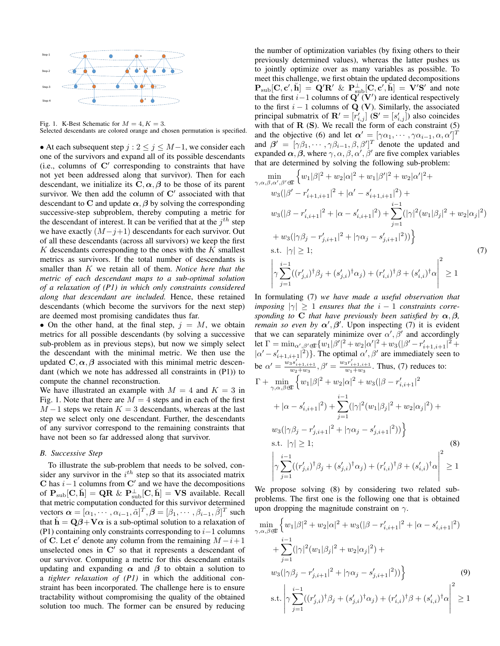

Fig. 1. K-Best Schematic for  $M = 4, K = 3$ . Selected descendants are colored orange and chosen permutation is specified.

• At each subsequent step  $j : 2 \le j \le M-1$ , we consider each one of the survivors and expand all of its possible descendants  $(i.e., columns of  $C'$  corresponding to constraints that have$ not yet been addressed along that survivor). Then for each descendant, we initialize its  $C, \alpha, \beta$  to be those of its parent survivor. We then add the column of  $C'$  associated with that descendant to C and update  $\alpha$ ,  $\beta$  by solving the corresponding successive-step subproblem, thereby computing a metric for the descendant of interest. It can be verified that at the  $j<sup>th</sup>$  step we have exactly  $(M-j+1)$  descendants for each survivor. Out of all these descendants (across all survivors) we keep the first  $K$  descendants corresponding to the ones with the  $K$  smallest metrics as survivors. If the total number of descendants is smaller than K we retain all of them. *Notice here that the metric of each descendant maps to a sub-optimal solution of a relaxation of (P1) in which only constraints considered along that descendant are included.* Hence, these retained descendants (which become the survivors for the next step) are deemed most promising candidates thus far.

• On the other hand, at the final step,  $j = M$ , we obtain metrics for all possible descendants (by solving a successive sub-problem as in previous steps), but now we simply select the descendant with the minimal metric. We then use the updated  $C, \alpha, \beta$  associated with this minimal metric descendant (which we note has addressed all constraints in (P1)) to compute the channel reconstruction.

We have illustrated an example with  $M = 4$  and  $K = 3$  in Fig. 1. Note that there are  $M = 4$  steps and in each of the first  $M-1$  steps we retain  $K = 3$  descendants, whereas at the last step we select only one descendant. Further, the descendants of any survivor correspond to the remaining constraints that have not been so far addressed along that survivor.

## *B. Successive Step*

To illustrate the sub-problem that needs to be solved, consider any survivor in the  $i^{th}$  step so that its associated matrix C has  $i-1$  columns from C' and we have the decompositions of  $P_{sub}[C, \breve{h}] = QR \& P_{sub}^{\perp}[C, \breve{h}] = VS$  available. Recall that metric computation conducted for this survivor determined vectors  $\boldsymbol{\alpha} = [\alpha_1, \cdots, \alpha_{i-1}, \tilde{\alpha}]^T, \boldsymbol{\beta} = [\beta_1, \cdots, \beta_{i-1}, \tilde{\beta}]^T$  such that  $\hat{\mathbf{h}} = \mathbf{Q}\boldsymbol{\beta} + \mathbf{V}\boldsymbol{\alpha}$  is a sub-optimal solution to a relaxation of (P1) containing only constraints corresponding to  $i-1$  columns of C. Let c' denote any column from the remaining  $M - i + 1$ unselected ones in  $\mathbf{C}'$  so that it represents a descendant of our survivor. Computing a metric for this descendant entails updating and expanding  $\alpha$  and  $\beta$  to obtain a solution to a *tighter relaxation of (P1)* in which the additional constraint has been incorporated. The challenge here is to ensure tractability without compromising the quality of the obtained solution too much. The former can be ensured by reducing

the number of optimization variables (by fixing others to their previously determined values), whereas the latter pushes us to jointly optimize over as many variables as possible. To meet this challenge, we first obtain the updated decompositions  $P_{sub}[C, c', \check{h}] = Q'R' \& P_{sub}^{\perp}[C, c', \check{h}] = V'S'$  and note that the first i–1 columns of  $\tilde{Q}'(V')$  are identical respectively to the first  $i - 1$  columns of  $Q$  (V). Similarly, the associated principal submatrix of  $\mathbf{R}' = [r'_{i,j}]$  ( $\mathbf{S}' = [s'_{i,j}]$ ) also coincides with that of  $R(S)$ . We recall the form of each constraint  $(5)$ and the objective (6) and let  $\alpha' = [\gamma \alpha_1, \cdots, \gamma \alpha_{i-1}, \alpha, \alpha']^T$ and  $\beta' = [\gamma \beta_1, \cdots, \gamma \beta_{i-1}, \beta, \beta']^T$  denote the updated and expanded  $\alpha$ ,  $\beta$ , where  $\gamma$ ,  $\alpha$ ,  $\beta$ ,  $\alpha'$ ,  $\beta'$  are five complex variables that are determined by solving the following sub-problem:

$$
\min_{\gamma,\alpha,\beta,\alpha',\beta'\in\mathbb{C}} \left\{ w_1|\beta|^2 + w_2|\alpha|^2 + w_1|\beta'|^2 + w_2|\alpha'|^2 + w_3(|\beta' - r'_{i+1,i+1}|^2 + |\alpha' - s'_{i+1,i+1}|^2) + w_3(|\beta - r'_{i,i+1}|^2 + |\alpha - s'_{i,i+1}|^2) + \sum_{j=1}^{i-1} (|\gamma|^2 (w_1|\beta_j|^2 + w_2|\alpha_j|^2) + w_3(|\gamma\beta_j - r'_{j,i+1}|^2 + |\gamma\alpha_j - s'_{j,i+1}|^2)) \right\}
$$
\n
$$
\text{s.t. } |\gamma| \ge 1; \tag{7}
$$
\n
$$
\left| \gamma \sum_{j=1}^{i-1} ((r'_{j,i})^\dagger \beta_j + (s'_{j,i})^\dagger \alpha_j) + (r'_{i,i})^\dagger \beta + (s'_{i,i})^\dagger \alpha \right|^2 \ge 1
$$

In formulating (7) *we have made a useful observation that imposing*  $|\gamma| \geq 1$  *ensures that the*  $i - 1$  *constraints corresponding to* C *that have previously been satisfied by*  $\alpha$ ,  $\beta$ , *remain so even by*  $\alpha'$ ,  $\beta'$ . Upon inspecting (7) it is evident that we can separately minimize over  $\alpha', \beta'$  and accordingly let  $\Gamma = \min_{\alpha',\beta'\in\mathbb{C}} \{w_1|\beta'|^2 + w_2|\alpha'|^2 + w_3(|\beta' - r'_{i+1,i+1}|^2 + \alpha')\}$  $|\alpha'-s'_{i+1,i+1}|^2$ }. The optimal  $\alpha', \beta'$  are immediately seen to be  $\alpha' = \frac{w_3 s'_{i+1,i+1}}{w_2 + w_3}, \beta' = \frac{w_3 r'_{i+1,i+1}}{w_1 + w_3}$ . Thus, (7) reduces to:  $\Gamma + \min_{\gamma,\alpha,\beta \in \mathbb{C}}$  $\left\{w_1|\beta|^2+w_2|\alpha|^2+w_3(|\beta-r'_{i,i+1}|^2\right\}$  $+ |\alpha - s'_{i,i+1}|^2) + \sum_{i=1}^{i-1}$  $j=1$  $(|\gamma|^2(w_1|\beta_j|^2+w_2|\alpha_j|^2)+$  $w_3(|\gamma\beta_j - r'_{j,i+1}|^2 + |\gamma\alpha_j - s'_{j,i+1}|^2))\big\}$ s.t.  $|\gamma| \geq 1$ ; (8)  $\gamma \sum_{i=1}^{i-1}$  $j=1$  $((r'_{j,i})^{\dagger}\beta_j + (s'_{j,i})^{\dagger}\alpha_j) + (r'_{i,i})^{\dagger}\beta + (s'_{i,i})^{\dagger}\alpha$  2  $\geq 1$ 

We propose solving (8) by considering two related subproblems. The first one is the following one that is obtained upon dropping the magnitude constraint on  $\gamma$ .

$$
\min_{\gamma,\alpha,\beta\in\mathbb{C}} \left\{ w_1|\beta|^2 + w_2|\alpha|^2 + w_3(|\beta - r'_{i,i+1}|^2 + |\alpha - s'_{i,i+1}|^2) \right.\n+ \sum_{j=1}^{i-1} (|\gamma|^2 (w_1|\beta_j|^2 + w_2|\alpha_j|^2) +\nw_3(|\gamma\beta_j - r'_{j,i+1}|^2 + |\gamma\alpha_j - s'_{j,i+1}|^2)) \right\}
$$
\n(9)  
\ns.t. 
$$
\left| \gamma \sum_{j=1}^{i-1} ((r'_{j,i})^{\dagger}\beta_j + (s'_{j,i})^{\dagger}\alpha_j) + (r'_{i,i})^{\dagger}\beta + (s'_{i,i})^{\dagger}\alpha \right|^2 \ge 1
$$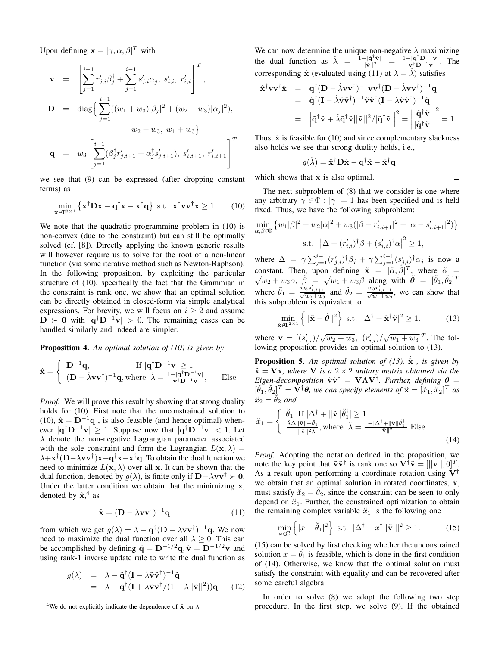Upon defining  $\mathbf{x} = [\gamma, \alpha, \beta]^T$  with

$$
\mathbf{v} = \left[ \sum_{j=1}^{i-1} r'_{j,i} \beta_j^{\dagger} + \sum_{j=1}^{i-1} s'_{j,i} \alpha_j^{\dagger}, s'_{i,i}, r'_{i,i} \right]^T,
$$
  
\n
$$
\mathbf{D} = \text{diag} \left\{ \sum_{j=1}^{i-1} ((w_1 + w_3)|\beta_j|^2 + (w_2 + w_3)|\alpha_j|^2),
$$
  
\n
$$
w_2 + w_3, w_1 + w_3 \right\}
$$
  
\n
$$
\mathbf{q} = w_3 \left[ \sum_{j=1}^{i-1} (\beta_j^{\dagger} r'_{j,i+1} + \alpha_j^{\dagger} s'_{j,i+1}), s'_{i,i+1}, r'_{i,i+1} \right]^T
$$

we see that (9) can be expressed (after dropping constant terms) as

$$
\min_{\mathbf{x}\in\mathbb{C}^{3\times 1}} \left\{ \mathbf{x}^{\dagger} \mathbf{D} \mathbf{x} - \mathbf{q}^{\dagger} \mathbf{x} - \mathbf{x}^{\dagger} \mathbf{q} \right\} \text{ s.t. } \mathbf{x}^{\dagger} \mathbf{v} \mathbf{v}^{\dagger} \mathbf{x} \ge 1 \quad (10)
$$

We note that the quadratic programming problem in (10) is non-convex (due to the constraint) but can still be optimally solved (cf. [8]). Directly applying the known generic results will however require us to solve for the root of a non-linear function (via some iterative method such as Newton-Raphson). In the following proposition, by exploiting the particular structure of (10), specifically the fact that the Grammian in the constraint is rank one, we show that an optimal solution can be directly obtained in closed-form via simple analytical expressions. For brevity, we will focus on  $i \geq 2$  and assume  $\mathbf{D} \succ \mathbf{0}$  with  $|\mathbf{q}^{\dagger} \mathbf{D}^{-1} \mathbf{v}| > 0$ . The remaining cases can be handled similarly and indeed are simpler.

Proposition 4. *An optimal solution of (10) is given by*

$$
\hat{\mathbf{x}} = \begin{cases} \n\mathbf{D}^{-1}\mathbf{q}, & \text{If } |\mathbf{q}^{\dagger}\mathbf{D}^{-1}\mathbf{v}| \ge 1\\ \n(\mathbf{D} - \hat{\lambda}\mathbf{v}\mathbf{v}^{\dagger})^{-1}\mathbf{q}, \text{where } \hat{\lambda} = \frac{1 - |\mathbf{q}^{\dagger}\mathbf{D}^{-1}\mathbf{v}|}{\mathbf{v}^{\dagger}\mathbf{D}^{-1}\mathbf{v}}, \quad \text{Else} \n\end{cases}
$$

*Proof.* We will prove this result by showing that strong duality holds for (10). First note that the unconstrained solution to (10),  $\hat{\mathbf{x}} = \mathbf{D}^{-1}\mathbf{q}$ , is also feasible (and hence optimal) whenever  $|\mathbf{q}^\dagger \mathbf{D}^{-1} \mathbf{v}| \geq 1$ . Suppose now that  $|\mathbf{q}^\dagger \mathbf{D}^{-1} \mathbf{v}| < 1$ . Let  $\lambda$  denote the non-negative Lagrangian parameter associated with the sole constraint and form the Lagrangian  $L(\mathbf{x}, \lambda) =$  $\lambda + x^{\dagger} (D - \lambda v v^{\dagger}) x - q^{\dagger} x - x^{\dagger} q$ . To obtain the dual function we need to minimize  $L(\mathbf{x}, \lambda)$  over all x. It can be shown that the dual function, denoted by  $g(\lambda)$ , is finite only if  $D-\lambda v v^{\dagger} \succ 0$ . Under the latter condition we obtain that the minimizing  $x$ , denoted by  $\hat{\mathbf{x}}^4$ , as

$$
\hat{\mathbf{x}} = (\mathbf{D} - \lambda \mathbf{v} \mathbf{v}^{\dagger})^{-1} \mathbf{q}
$$
 (11)

from which we get  $g(\lambda) = \lambda - \mathbf{q}^\dagger (\mathbf{D} - \lambda \mathbf{v} \mathbf{v}^\dagger)^{-1} \mathbf{q}$ . We now need to maximize the dual function over all  $\lambda \geq 0$ . This can be accomplished by defining  $\tilde{\mathbf{q}} = \mathbf{D}^{-1/2}\mathbf{q}, \tilde{\mathbf{v}} = \mathbf{D}^{-1/2}\mathbf{v}$  and using rank-1 inverse update rule to write the dual function as

$$
g(\lambda) = \lambda - \tilde{\mathbf{q}}^{\dagger} (\mathbf{I} - \lambda \tilde{\mathbf{v}} \tilde{\mathbf{v}}^{\dagger})^{-1} \tilde{\mathbf{q}} = \lambda - \tilde{\mathbf{q}}^{\dagger} (\mathbf{I} + \lambda \tilde{\mathbf{v}} \tilde{\mathbf{v}}^{\dagger}/(1 - \lambda ||\tilde{\mathbf{v}}||^2)) \tilde{\mathbf{q}} \qquad (12)
$$

<sup>4</sup>We do not explicitly indicate the dependence of  $\hat{\mathbf{x}}$  on  $\lambda$ .

We can now determine the unique non-negative  $\lambda$  maximizing the dual function as  $\hat{\lambda} = \frac{\hat{\mathbf{i}} - |\hat{\mathbf{q}}^{\dagger}\tilde{\mathbf{v}}|}{\|\tilde{\mathbf{v}}\|^2} = \frac{\mathbf{1} - |\mathbf{q}^{\dagger} \mathbf{D}^{-1} \mathbf{v}|}{\mathbf{v}^{\dagger} \mathbf{D}^{-1} \mathbf{v}}$  $\frac{-|\mathbf{q} \cdot \mathbf{D} - \mathbf{v}|}{|\mathbf{v} \cdot \mathbf{D} - \mathbf{v}|}$ . The corresponding  $\hat{\mathbf{x}}$  (evaluated using (11) at  $\lambda = \hat{\lambda}$ ) satisfies

$$
\hat{\mathbf{x}}^{\dagger} \mathbf{v} \mathbf{v}^{\dagger} \hat{\mathbf{x}} = \mathbf{q}^{\dagger} (\mathbf{D} - \hat{\lambda} \mathbf{v} \mathbf{v}^{\dagger})^{-1} \mathbf{v} \mathbf{v}^{\dagger} (\mathbf{D} - \hat{\lambda} \mathbf{v} \mathbf{v}^{\dagger})^{-1} \mathbf{q} \n= \tilde{\mathbf{q}}^{\dagger} (\mathbf{I} - \hat{\lambda} \tilde{\mathbf{v}} \tilde{\mathbf{v}}^{\dagger})^{-1} \tilde{\mathbf{v}} \tilde{\mathbf{v}}^{\dagger} (\mathbf{I} - \hat{\lambda} \tilde{\mathbf{v}} \tilde{\mathbf{v}}^{\dagger})^{-1} \tilde{\mathbf{q}} \n= |\tilde{\mathbf{q}}^{\dagger} \tilde{\mathbf{v}} + \hat{\lambda} \tilde{\mathbf{q}}^{\dagger} \tilde{\mathbf{v}} ||\tilde{\mathbf{v}}||^2 / |\tilde{\mathbf{q}}^{\dagger} \tilde{\mathbf{v}}| |^2 = \left| \frac{\tilde{\mathbf{q}}^{\dagger} \tilde{\mathbf{v}}}{|\tilde{\mathbf{q}}^{\dagger} \tilde{\mathbf{v}}|} \right|^2 = 1
$$

Thus,  $\hat{\mathbf{x}}$  is feasible for (10) and since complementary slackness also holds we see that strong duality holds, i.e.,

$$
g(\hat{\lambda}) = \hat{\mathbf{x}}^{\dagger} \mathbf{D} \hat{\mathbf{x}} - \mathbf{q}^{\dagger} \hat{\mathbf{x}} - \hat{\mathbf{x}}^{\dagger} \mathbf{q}
$$

which shows that  $\hat{x}$  is also optimal.

The next subproblem of (8) that we consider is one where any arbitrary  $\gamma \in \mathbb{C} : |\gamma| = 1$  has been specified and is held fixed. Thus, we have the following subproblem:

 $\Box$ 

$$
\min_{\alpha,\beta \in \mathbb{C}} \left\{ w_1 |\beta|^2 + w_2 |\alpha|^2 + w_3 (|\beta - r'_{i,i+1}|^2 + |\alpha - s'_{i,i+1}|^2) \right\}
$$
  
s.t.  $|\Delta + (r'_{i,i})^\dagger \beta + (s'_{i,i})^\dagger \alpha|^2 \ge 1$ ,

where  $\Delta = \gamma \sum_{j=1}^{i-1} (r'_{j,i})^{\dagger} \beta_j + \gamma \sum_{j=1}^{i-1} (s'_{j,i})^{\dagger} \alpha_j$  is now a constant. Then, upon defining  $\tilde{\mathbf{x}} = [\tilde{\alpha}, \tilde{\beta}]^T$ , where  $\tilde{\alpha} = [\tilde{\alpha}, \tilde{\beta}]^T$ mstant. Then, upon defining  $\mathbf{x} = [\alpha, \beta]$ , where  $\alpha =$ <br> $\overline{w_2 + w_3} \alpha$ ,  $\tilde{\beta} = \sqrt{w_1 + w_3} \beta$  along with  $\tilde{\theta} = [\tilde{\theta}_1, \tilde{\theta}_2]^T$ where  $\tilde{\theta}_1 = \frac{w_3 s'_{i,i+1}}{\sqrt{w_2 + w_3}}$  and  $\tilde{\theta}_2 = \frac{w_3 r'_{i,i+1}}{\sqrt{w_1 + w_3}}$ , we can show that this subproblem is equivalent to

$$
\min_{\tilde{\mathbf{x}} \in \mathbb{C}^{2 \times 1}} \left\{ \|\tilde{\mathbf{x}} - \tilde{\boldsymbol{\theta}}\|^2 \right\} \text{ s.t. } |\Delta^{\dagger} + \tilde{\mathbf{x}}^{\dagger} \tilde{\mathbf{v}}|^2 \ge 1. \tag{13}
$$

where  $\tilde{\mathbf{v}} = [(s'_{i,i})/\sqrt{w_2+w_3}, (r'_{i,i})/\sqrt{w_1+w_3}]^T$ . The following proposition provides an optimal solution to (13).

**Proposition 5.** An optimal solution of (13),  $\tilde{\mathbf{x}}$ , is given by  $\tilde{\mathbf{x}} = \mathbf{V}\tilde{\mathbf{x}}$ *, where* **V** *is a* 2 × 2 *unitary matrix obtained via the Eigen-decomposition*  $\tilde{v}\tilde{v}^{\dagger} = \mathbf{V}\Lambda\tilde{V}^{\dagger}$ *. Further, defining*  $\tilde{\theta} =$  $[\check{\theta}_1, \check{\theta}_2]^T = \hat{V}^{\dagger} \tilde{\theta}$ , we can specify elements of  $\check{\mathbf{x}} = [\check{x}_1, \check{x}_2]^T$  as  $\breve{x}_2 = \breve{\theta}_2$  *and* 

$$
\breve{x}_1 = \begin{cases} \breve{\theta}_1 & \text{If } |\Delta^\dagger + \|\tilde{\mathbf{v}}\| \breve{\theta}_1^\dagger| \ge 1 \\ \frac{\hat{\lambda}\Delta \|\tilde{\mathbf{v}}\| + \breve{\theta}_1}{1 - \|\tilde{\mathbf{v}}\|^2 \hat{\lambda}}, \text{where } \hat{\lambda} = \frac{1 - |\Delta^\dagger + \|\tilde{\mathbf{v}}\| \breve{\theta}_1^\dagger|}{\|\tilde{\mathbf{v}}\|^2} \text{ Else} \end{cases} \tag{14}
$$

*Proof.* Adopting the notation defined in the proposition, we note the key point that  $\tilde{v}\tilde{v}^{\dagger}$  is rank one so  $V^{\dagger}\tilde{v} = [||v||, 0]^T$ . As a result upon performing a coordinate rotation using  $V^{\dagger}$ we obtain that an optimal solution in rotated coordinates,  $\breve{\mathbf{x}}$ , must satisfy  $\breve{x}_2 = \breve{\theta}_2$ , since the constraint can be seen to only depend on  $\breve{x}_1$ . Further, the constrained optimization to obtain the remaining complex variable  $\breve{x}_1$  is the following one

$$
\min_{x \in \mathbb{C}} \left\{ |x - \breve{\theta}_1|^2 \right\} \text{ s.t. } |\Delta^{\dagger} + x^{\dagger}||\tilde{\mathbf{v}}|||^2 \ge 1. \tag{15}
$$

(15) can be solved by first checking whether the unconstrained solution  $x = \check{\theta}_1$  is feasible, which is done in the first condition of (14). Otherwise, we know that the optimal solution must satisfy the constraint with equality and can be recovered after some careful algebra.  $\Box$ 

In order to solve (8) we adopt the following two step procedure. In the first step, we solve (9). If the obtained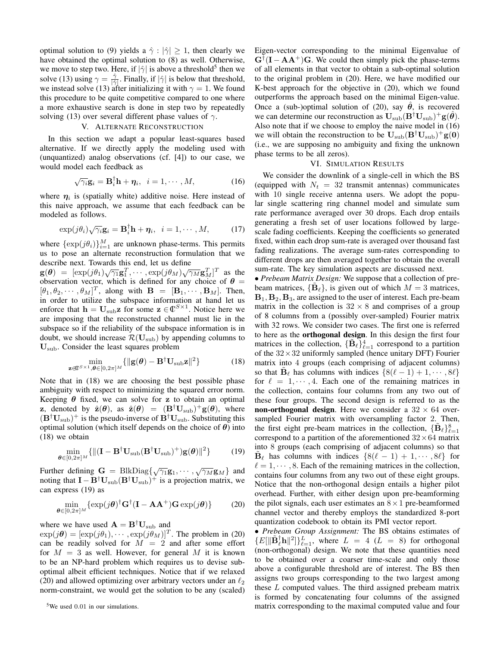optimal solution to (9) yields a  $\hat{\gamma}$  :  $|\hat{\gamma}| \geq 1$ , then clearly we have obtained the optimal solution to (8) as well. Otherwise, we move to step two. Here, if  $|\hat{\gamma}|$  is above a threshold<sup>5</sup> then we solve (13) using  $\gamma = \frac{\hat{\gamma}}{|\hat{\gamma}|}$ . Finally, if  $|\hat{\gamma}|$  is below that threshold, we instead solve (13) after initializing it with  $\gamma = 1$ . We found this procedure to be quite competitive compared to one where a more exhaustive search is done in step two by repeatedly solving (13) over several different phase values of  $\gamma$ .

## V. ALTERNATE RECONSTRUCTION

In this section we adapt a popular least-squares based alternative. If we directly apply the modeling used with (unquantized) analog observations (cf. [4]) to our case, we would model each feedback as

$$
\sqrt{\gamma_i}\mathbf{g}_i = \mathbf{B}_i^{\dagger}\mathbf{h} + \boldsymbol{\eta}_i, \ \ i = 1, \cdots, M,
$$
 (16)

where  $\eta_i$  is (spatially white) additive noise. Here instead of this naive approach, we assume that each feedback can be modeled as follows.

$$
\exp(j\theta_i)\sqrt{\gamma_i}\mathbf{g}_i = \mathbf{B}_i^{\dagger}\mathbf{h} + \boldsymbol{\eta}_i, \ \ i = 1, \cdots, M, \tag{17}
$$

where  $\{\exp(j\theta_i)\}_{i=1}^M$  are unknown phase-terms. This permits us to pose an alternate reconstruction formulation that we describe next. Towards this end, let us define

 $g(\theta) = [\exp(j\theta_1)\sqrt{\gamma_1}g_1^T, \cdots, \exp(j\theta_M)\sqrt{\gamma_M}g_M^T]^T$  as the observation vector, which is defined for any choice of  $\theta =$  $[\theta_1, \theta_2, \cdots, \theta_M]^T$ , along with  $\mathbf{B} = [\mathbf{B}_1, \cdots, \mathbf{B}_M]$ . Then, in order to utilize the subspace information at hand let us enforce that  $\mathbf{h} = \mathbf{U}_{\text{sub}} \mathbf{z}$  for some  $\mathbf{z} \in \mathbb{C}^{S \times 1}$ . Notice here we are imposing that the reconstructed channel must lie in the subspace so if the reliability of the subspace information is in doubt, we should increase  $\mathcal{R}(\mathbf{U}_{sub})$  by appending columns to Usub. Consider the least squares problem

$$
\min_{\mathbf{z}\in\mathbb{C}^{S\times 1},\boldsymbol{\theta}\in[0,2\pi]^M}\{\|\mathbf{g}(\boldsymbol{\theta})-\mathbf{B}^{\dagger}\mathbf{U}_{\text{sub}}\mathbf{z}\|^2\}\
$$
(18)

Note that in (18) we are choosing the best possible phase ambiguity with respect to minimizing the squared error norm. Keeping  $\theta$  fixed, we can solve for z to obtain an optimal z, denoted by  $\hat{\mathbf{z}}(\theta)$ , as  $\hat{\mathbf{z}}(\theta) = (\mathbf{B}^{\dagger} \mathbf{U}_{\text{sub}})^{+} \mathbf{g}(\theta)$ , where  $(B^{\dagger}U_{\text{sub}})^+$  is the pseudo-inverse of  $B^{\dagger}U_{\text{sub}}$ . Substituting this optimal solution (which itself depends on the choice of  $\theta$ ) into (18) we obtain

$$
\min_{\boldsymbol{\theta} \in [0,2\pi]^M} \{ \| (\mathbf{I} - \mathbf{B}^\dagger \mathbf{U}_{\text{sub}} (\mathbf{B}^\dagger \mathbf{U}_{\text{sub}})^+) \mathbf{g}(\boldsymbol{\theta}) \|^2 \}
$$
(19)

Further defining  $\mathbf{G} = \text{BlkDiag}\{\sqrt{\gamma_1}\mathbf{g}_1, \cdots, \sqrt{\gamma_M}\mathbf{g}_M\}$  and noting that  $I - B^{\dagger}U_{\text{sub}}(B^{\dagger}U_{\text{sub}})^{+}$  is a projection matrix, we can express (19) as

$$
\min_{\boldsymbol{\theta} \in [0,2\pi]^M} \{ \exp(j\boldsymbol{\theta})^\dagger \mathbf{G}^\dagger (\mathbf{I} - \mathbf{A} \mathbf{A}^+) \mathbf{G} \exp(j\boldsymbol{\theta}) \} \tag{20}
$$

where we have used  $\mathbf{A} = \mathbf{B}^{\dagger} \mathbf{U}_{\text{sub}}$  and

 $\exp(j\theta) = [\exp(j\theta_1), \cdots, \exp(j\theta_M)]^T$ . The problem in (20) can be readily solved for  $M = 2$  and after some effort for  $M = 3$  as well. However, for general M it is known to be an NP-hard problem which requires us to devise suboptimal albeit efficient techniques. Notice that if we relaxed (20) and allowed optimizing over arbitrary vectors under an  $\ell_2$ norm-constraint, we would get the solution to be any (scaled) Eigen-vector corresponding to the minimal Eigenvalue of  $G^{\dagger}(\mathbf{I} - \mathbf{A}\mathbf{A}^+)$  G. We could then simply pick the phase-terms of all elements in that vector to obtain a sub-optimal solution to the original problem in (20). Here, we have modified our K-best approach for the objective in (20), which we found outperforms the approach based on the minimal Eigen-value. Once a (sub-)optimal solution of (20), say  $\hat{\theta}$ , is recovered we can determine our reconstruction as  $\mathbf{U}_{\text{sub}}(\mathbf{B}^\dagger \mathbf{U}_{\text{sub}})^+ \mathbf{g}(\hat{\theta})$ . Also note that if we choose to employ the naive model in (16) we will obtain the reconstruction to be  $U_{sub}(B^{\dagger}U_{sub})+g(0)$ (i.e., we are supposing no ambiguity and fixing the unknown phase terms to be all zeros).

#### VI. SIMULATION RESULTS

We consider the downlink of a single-cell in which the BS (equipped with  $N_t = 32$  transmit antennas) communicates with 10 single receive antenna users. We adopt the popular single scattering ring channel model and simulate sum rate performance averaged over 30 drops. Each drop entails generating a fresh set of user locations followed by largescale fading coefficients. Keeping the coefficients so generated fixed, within each drop sum-rate is averaged over thousand fast fading realizations. The average sum-rates corresponding to different drops are then averaged together to obtain the overall sum-rate. The key simulation aspects are discussed next.

• *Prebeam Matrix Design:* We suppose that a collection of prebeam matrices,  $\{\tilde{\mathbf{B}}_\ell\}$ , is given out of which  $M = 3$  matrices,  $B_1, B_2, B_3$ , are assigned to the user of interest. Each pre-beam matrix in the collection is  $32 \times 8$  and comprises of a group of 8 columns from a (possibly over-sampled) Fourier matrix with 32 rows. We consider two cases. The first one is referred to here as the orthogonal design. In this design the first four matrices in the collection,  $\{\tilde{\mathbf{B}}_{\ell}\}_{\ell=1}^{4}$  correspond to a partition of the  $32 \times 32$  uniformly sampled (hence unitary DFT) Fourier matrix into 4 groups (each comprising of adjacent columns) so that  $\tilde{\mathbf{B}}_{\ell}$  has columns with indices  $\{8(\ell - 1) + 1, \cdots, 8\ell\}$ for  $\ell = 1, \dots, 4$ . Each one of the remaining matrices in the collection, contains four columns from any two out of these four groups. The second design is referred to as the non-orthogonal design. Here we consider a  $32 \times 64$  oversampled Fourier matrix with oversampling factor 2. Then, the first eight pre-beam matrices in the collection,  $\{\tilde{\mathbf{B}}_{\ell}\}_{\ell=1}^{8}$ correspond to a partition of the aforementioned  $32 \times 64$  matrix into 8 groups (each comprising of adjacent columns) so that  $\tilde{\mathbf{B}}_{\ell}$  has columns with indices  $\{8(\ell - 1) + 1, \cdots, 8\ell\}$  for  $\ell = 1, \dots, 8$ . Each of the remaining matrices in the collection, contains four columns from any two out of these eight groups. Notice that the non-orthogonal design entails a higher pilot overhead. Further, with either design upon pre-beamforming the pilot signals, each user estimates an  $8 \times 1$  pre-beamformed channel vector and thereby employs the standardized 8-port quantization codebook to obtain its PMI vector report.

• *Prebeam Group Assignment:* The BS obtains estimates of  $\{E[\Vert \tilde{\mathbf{B}}_\ell^\dagger \mathbf{h} \Vert^2]\}_{\ell=1}^L$ , where  $L = 4$  ( $L = 8$ ) for orthogonal (non-orthogonal) design. We note that these quantities need to be obtained over a coarser time-scale and only those above a configurable threshold are of interest. The BS then assigns two groups corresponding to the two largest among these L computed values. The third assigned prebeam matrix is formed by concatenating four columns of the assigned matrix corresponding to the maximal computed value and four

<sup>&</sup>lt;sup>5</sup>We used 0.01 in our simulations.